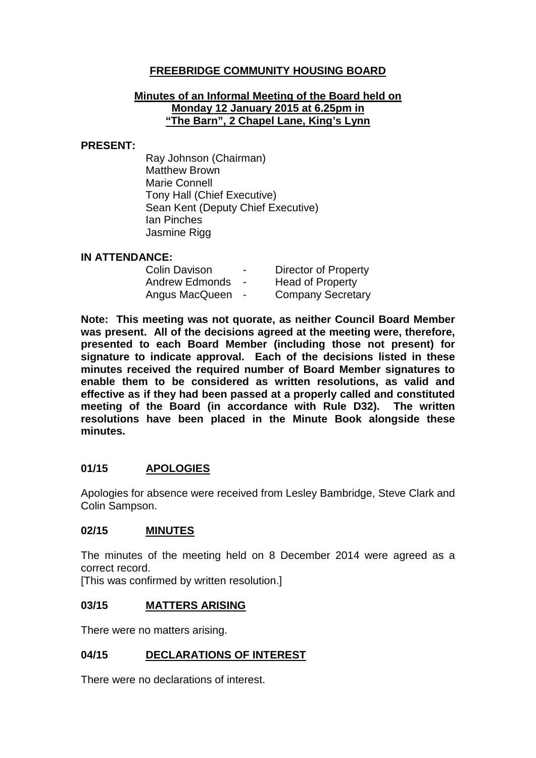# **FREEBRIDGE COMMUNITY HOUSING BOARD**

#### **Minutes of an Informal Meeting of the Board held on Monday 12 January 2015 at 6.25pm in "The Barn", 2 Chapel Lane, King's Lynn**

#### **PRESENT:**

Ray Johnson (Chairman) Matthew Brown Marie Connell Tony Hall (Chief Executive) Sean Kent (Deputy Chief Executive) Ian Pinches Jasmine Rigg

### **IN ATTENDANCE:**

| <b>Colin Davison</b>  | $\blacksquare$ | <b>Director of Property</b> |
|-----------------------|----------------|-----------------------------|
| <b>Andrew Edmonds</b> |                | <b>Head of Property</b>     |
| Angus MacQueen        | $\blacksquare$ | <b>Company Secretary</b>    |

**Note: This meeting was not quorate, as neither Council Board Member was present. All of the decisions agreed at the meeting were, therefore, presented to each Board Member (including those not present) for signature to indicate approval. Each of the decisions listed in these minutes received the required number of Board Member signatures to enable them to be considered as written resolutions, as valid and effective as if they had been passed at a properly called and constituted meeting of the Board (in accordance with Rule D32). The written resolutions have been placed in the Minute Book alongside these minutes.**

# **01/15 APOLOGIES**

Apologies for absence were received from Lesley Bambridge, Steve Clark and Colin Sampson.

### **02/15 MINUTES**

The minutes of the meeting held on 8 December 2014 were agreed as a correct record.

[This was confirmed by written resolution.]

### **03/15 MATTERS ARISING**

There were no matters arising.

# **04/15 DECLARATIONS OF INTEREST**

There were no declarations of interest.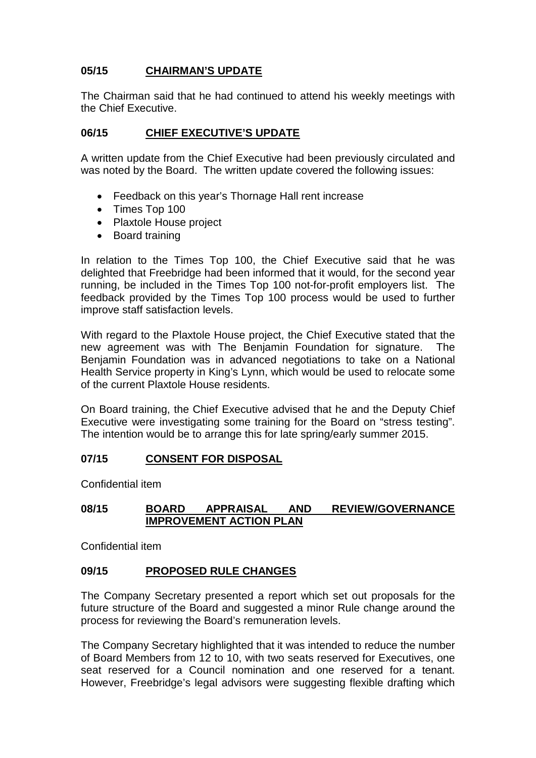# **05/15 CHAIRMAN'S UPDATE**

The Chairman said that he had continued to attend his weekly meetings with the Chief Executive.

### **06/15 CHIEF EXECUTIVE'S UPDATE**

A written update from the Chief Executive had been previously circulated and was noted by the Board. The written update covered the following issues:

- Feedback on this year's Thornage Hall rent increase
- Times Top 100
- Plaxtole House project
- Board training

In relation to the Times Top 100, the Chief Executive said that he was delighted that Freebridge had been informed that it would, for the second year running, be included in the Times Top 100 not-for-profit employers list. The feedback provided by the Times Top 100 process would be used to further improve staff satisfaction levels.

With regard to the Plaxtole House project, the Chief Executive stated that the new agreement was with The Benjamin Foundation for signature. The Benjamin Foundation was in advanced negotiations to take on a National Health Service property in King's Lynn, which would be used to relocate some of the current Plaxtole House residents.

On Board training, the Chief Executive advised that he and the Deputy Chief Executive were investigating some training for the Board on "stress testing". The intention would be to arrange this for late spring/early summer 2015.

### **07/15 CONSENT FOR DISPOSAL**

Confidential item

### **08/15 BOARD APPRAISAL AND REVIEW/GOVERNANCE IMPROVEMENT ACTION PLAN**

Confidential item

### **09/15 PROPOSED RULE CHANGES**

The Company Secretary presented a report which set out proposals for the future structure of the Board and suggested a minor Rule change around the process for reviewing the Board's remuneration levels.

The Company Secretary highlighted that it was intended to reduce the number of Board Members from 12 to 10, with two seats reserved for Executives, one seat reserved for a Council nomination and one reserved for a tenant. However, Freebridge's legal advisors were suggesting flexible drafting which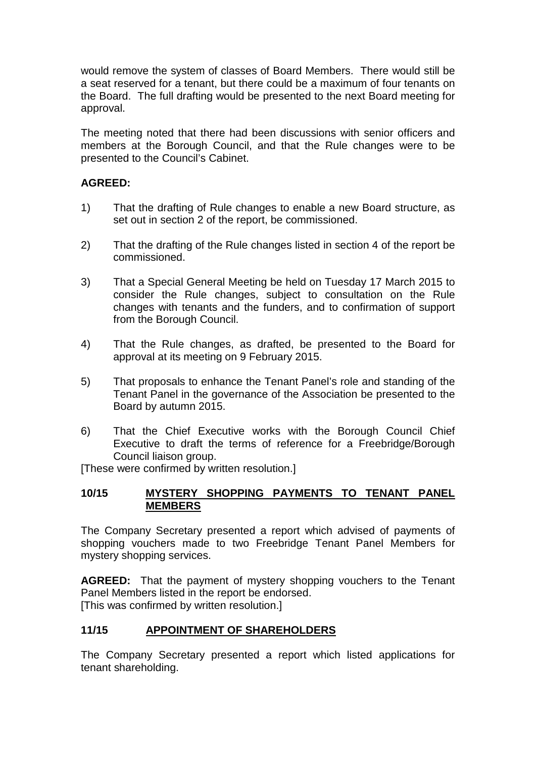would remove the system of classes of Board Members. There would still be a seat reserved for a tenant, but there could be a maximum of four tenants on the Board. The full drafting would be presented to the next Board meeting for approval.

The meeting noted that there had been discussions with senior officers and members at the Borough Council, and that the Rule changes were to be presented to the Council's Cabinet.

### **AGREED:**

- 1) That the drafting of Rule changes to enable a new Board structure, as set out in section 2 of the report, be commissioned.
- 2) That the drafting of the Rule changes listed in section 4 of the report be commissioned.
- 3) That a Special General Meeting be held on Tuesday 17 March 2015 to consider the Rule changes, subject to consultation on the Rule changes with tenants and the funders, and to confirmation of support from the Borough Council.
- 4) That the Rule changes, as drafted, be presented to the Board for approval at its meeting on 9 February 2015.
- 5) That proposals to enhance the Tenant Panel's role and standing of the Tenant Panel in the governance of the Association be presented to the Board by autumn 2015.
- 6) That the Chief Executive works with the Borough Council Chief Executive to draft the terms of reference for a Freebridge/Borough Council liaison group.

[These were confirmed by written resolution.]

### **10/15 MYSTERY SHOPPING PAYMENTS TO TENANT PANEL MEMBERS**

The Company Secretary presented a report which advised of payments of shopping vouchers made to two Freebridge Tenant Panel Members for mystery shopping services.

**AGREED:** That the payment of mystery shopping vouchers to the Tenant Panel Members listed in the report be endorsed. [This was confirmed by written resolution.]

### **11/15 APPOINTMENT OF SHAREHOLDERS**

The Company Secretary presented a report which listed applications for tenant shareholding.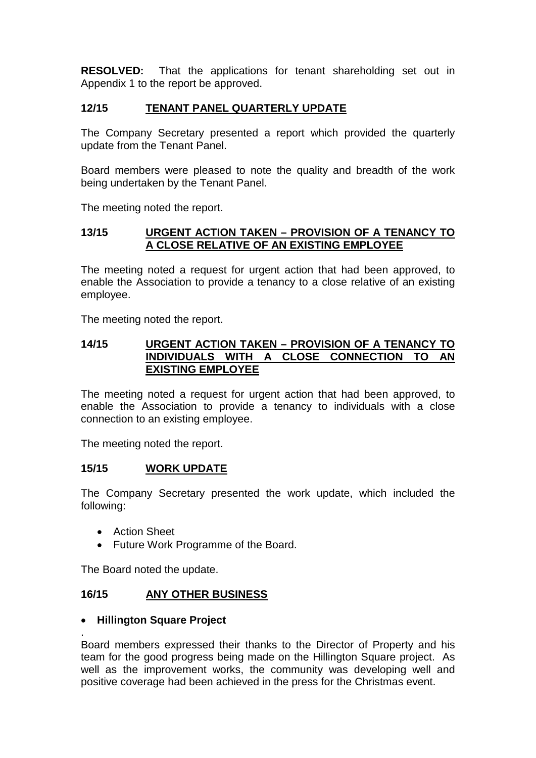**RESOLVED:** That the applications for tenant shareholding set out in Appendix 1 to the report be approved.

### **12/15 TENANT PANEL QUARTERLY UPDATE**

The Company Secretary presented a report which provided the quarterly update from the Tenant Panel.

Board members were pleased to note the quality and breadth of the work being undertaken by the Tenant Panel.

The meeting noted the report.

### **13/15 URGENT ACTION TAKEN – PROVISION OF A TENANCY TO A CLOSE RELATIVE OF AN EXISTING EMPLOYEE**

The meeting noted a request for urgent action that had been approved, to enable the Association to provide a tenancy to a close relative of an existing employee.

The meeting noted the report.

#### **14/15 URGENT ACTION TAKEN – PROVISION OF A TENANCY TO INDIVIDUALS WITH A CLOSE CONNECTION TO AN EXISTING EMPLOYEE**

The meeting noted a request for urgent action that had been approved, to enable the Association to provide a tenancy to individuals with a close connection to an existing employee.

The meeting noted the report.

### **15/15 WORK UPDATE**

The Company Secretary presented the work update, which included the following:

• Action Sheet

.

• Future Work Programme of the Board.

The Board noted the update.

### **16/15 ANY OTHER BUSINESS**

### • **Hillington Square Project**

Board members expressed their thanks to the Director of Property and his team for the good progress being made on the Hillington Square project. As well as the improvement works, the community was developing well and positive coverage had been achieved in the press for the Christmas event.